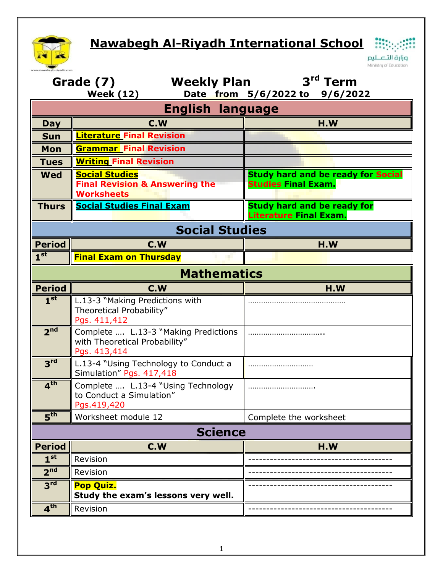## **Nawabegh Al-Riyadh International School**  $\frac{1}{100}$



H وزارة التصليم Ministry of Education

| <b>Weekly Plan</b><br>Grade (7)<br><b>Week (12)</b> |                                                                                         | 3 <sup>rd</sup> Term<br>Date from 5/6/2022 to 9/6/2022                  |  |  |
|-----------------------------------------------------|-----------------------------------------------------------------------------------------|-------------------------------------------------------------------------|--|--|
| <b>English language</b>                             |                                                                                         |                                                                         |  |  |
| <b>Day</b>                                          | C.W                                                                                     | H.W                                                                     |  |  |
| <b>Sun</b>                                          | <b>Literature Final Revision</b>                                                        |                                                                         |  |  |
| Mon                                                 | <b>Grammar</b> Final Revision                                                           |                                                                         |  |  |
| <b>Tues</b>                                         | <b>Writing Final Revision</b>                                                           |                                                                         |  |  |
| <b>Wed</b>                                          | <b>Social Studies</b><br><b>Final Revision &amp; Answering the</b><br><b>Worksheets</b> | <b>Study hard and be ready for Social</b><br><b>Studies Final Exam.</b> |  |  |
| <b>Thurs</b>                                        | <b>Social Studies Final Exam</b>                                                        | <b>Study hard and be ready for</b><br>Literature Final Exam.            |  |  |
| <b>Social Studies</b>                               |                                                                                         |                                                                         |  |  |
| <b>Period</b>                                       | C.W                                                                                     | H.W                                                                     |  |  |
| 1 <sup>st</sup>                                     | <b>Final Exam on Thursday</b>                                                           |                                                                         |  |  |
| <b>Mathematics</b>                                  |                                                                                         |                                                                         |  |  |
| <b>Period</b>                                       | C.W                                                                                     | H.W                                                                     |  |  |
| 1 <sup>st</sup>                                     | L.13-3 "Making Predictions with<br>Theoretical Probability"<br>Pgs. 411,412             |                                                                         |  |  |
| 2 <sup>nd</sup>                                     | Complete  L.13-3 "Making Predictions<br>with Theoretical Probability"<br>Pgs. 413,414   |                                                                         |  |  |
| 3 <sup>rd</sup>                                     | L.13-4 "Using Technology to Conduct a<br>Simulation" Pgs. 417,418                       |                                                                         |  |  |
| 4 <sup>th</sup>                                     | Complete  L.13-4 "Using Technology<br>to Conduct a Simulation"<br>Pgs.419,420           |                                                                         |  |  |
| $\overline{\mathbf{5}}^{\mathsf{th}}$               | Worksheet module 12                                                                     | Complete the worksheet                                                  |  |  |
| <b>Science</b>                                      |                                                                                         |                                                                         |  |  |
| <b>Period</b>                                       | C.W                                                                                     | H.W                                                                     |  |  |
| 1 <sup>st</sup>                                     | Revision                                                                                |                                                                         |  |  |
| 2 <sup>nd</sup>                                     | Revision                                                                                |                                                                         |  |  |
| 3 <sup>rd</sup>                                     | <b>Pop Quiz.</b><br>Study the exam's lessons very well.                                 |                                                                         |  |  |
| 4 <sup>th</sup>                                     | Revision                                                                                |                                                                         |  |  |